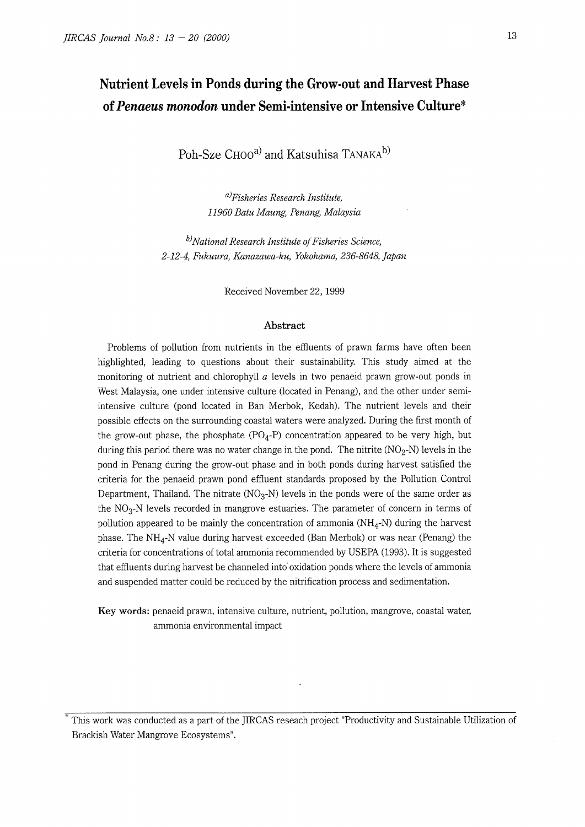## **Nutrient Levels in Ponds during the Grow-out and Harvest Phase of** *Penaeus monodon* **under Semi-intensive or Intensive Culture\***

Poh-Sze CHOO<sup>a)</sup> and Katsuhisa TANAKA<sup>b)</sup>

*a)Fisheries Research Institute, 11960 Batu Maung, Penang, Malaysia* 

bJ *National Research Institute of Fisheries Science, 2-12-4, Fukuura, Kanazawa-ku, Yokohama, 236-8648, Japan* 

Received November 22, 1999

#### **Abstract**

Problems of pollution from nutrients in the effluents of prawn farms have often been highlighted, leading to questions about their sustainability. This study aimed at the monitoring of nutrient and chlorophyll *a* levels in two penaeid prawn grow-out ponds in West Malaysia, one under intensive culture (located in Penang), and the other under semiintensive culture (pond located in Ban Merbok, Kedah). The nutrient levels and their possible effects on the surrounding coastal waters were analyzed. During the first month of the grow-out phase, the phosphate  $(PO<sub>4</sub>-P)$  concentration appeared to be very high, but during this period there was no water change in the pond. The nitrite  $(NO<sub>2</sub>-N)$  levels in the pond in Penang during the grow-out phase and in both ponds during harvest satisfied the criteria for the penaeid prawn pond effluent standards proposed by the Pollution Control Department, Thailand. The nitrate  $(NO<sub>3</sub>-N)$  levels in the ponds were of the same order as the  $NO<sub>3</sub>-N$  levels recorded in mangrove estuaries. The parameter of concern in terms of pollution appeared to be mainly the concentration of ammonia  $(NH_4-N)$  during the harvest phase. The  $NH_4$ -N value during harvest exceeded (Ban Merbok) or was near (Penang) the criteria for concentrations of total ammonia recommended by USEPA (1993). It is suggested that effluents during harvest be channeled into oxidation ponds where the levels of ammonia and suspended matter could be reduced by the nitrification process and sedimentation.

**Key words:** penaeid prawn, intensive culture, nutrient, pollution, mangrove, coastal water, ammonia environmental impact

\* This work was conducted as a part of the JIRCAS reseach project "Productivity and Sustainable Utilization of Brackish Water Mangrove Ecosystems".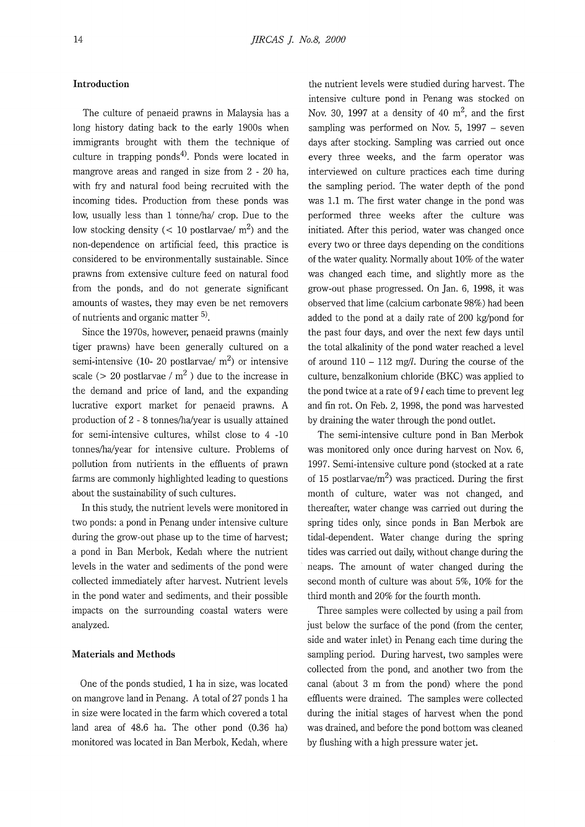### **Introduction**

The culture of penaeid prawns in Malaysia has a long history dating back to the early 1900s when immigrants brought with them the technique of culture in trapping ponds<sup>4)</sup>. Ponds were located in mangrove areas and ranged in size from 2 - 20 ha, with fry and natural food being recruited with the incoming tides. Production from these ponds was low, usually less than 1 tonne/ha/ crop. Due to the low stocking density ( $\langle 10 \text{ postlarvae/} m^2 \rangle$  and the non-dependence on artificial feed, this practice is considered to be environmentally sustainable. Since prawns from extensive culture feed on natural food from the ponds, and do not generate significant amounts of wastes, they may even be net removers of nutrients and organic matter  $5$ .

Since the 1970s, however, penaeid prawns (mainly tiger prawns) have been generally cultured on a semi-intensive (10- 20 postlarvae/  $m<sup>2</sup>$ ) or intensive scale ( $> 20$  postlarvae / m<sup>2</sup>) due to the increase in the demand and price of land, and the expanding lucrative export market for penaeid prawns. A production of 2 - 8 tonnes/ha/year is usually attained for semi-intensive cultures, whilst close to 4 -10 tonnes/ha/year for intensive culture. Problems of pollution from nutrients in the effluents of prawn farms are commonly highlighted leading to questions about the sustainability of such cultures.

In this study, the nutrient levels were monitored in two ponds: a pond in Penang under intensive culture during the grow-out phase up to the time of harvest; a pond in Ban Merbok, Kedah where the nutrient levels in the water and sediments of the pond were collected immediately after harvest. Nutrient levels in the pond water and sediments, and their possible impacts on the surrounding coastal waters were analyzed.

#### **Materials and Methods**

One of the ponds studied, 1 ha in size, was located on mangrove land in Penang. A total of 27 ponds 1 ha in size were located in the farm which covered a total land area of 48.6 ha. The other pond (0.36 ha) monitored was located in Ban Merbok, Kedah, where

the nutrient levels were studied during harvest. The intensive culture pond in Penang was stocked on Nov. 30, 1997 at a density of 40  $m^2$ , and the first sampling was performed on Nov. 5, 1997 – seven days after stocking. Sampling was carried out once every three weeks, and the farm operator was interviewed on culture practices each time during the sampling period. The water depth of the pond was 1.1 m. The first water change in the pond was performed three weeks after the culture was initiated. After this period, water was changed once every two or three days depending on the conditions of the water quality. Normally about 10% of the water was changed each time, and slightly more as the grow-out phase progressed. On Jan. 6, 1998, it was observed that lime (calcium carbonate 98%) had been added to the pond at a daily rate of 200 kg/pond for the past four days, and over the next few days until the total alkalinity of the pond water reached a level of around  $110 - 112$  mg/l. During the course of the culture, benzalkonium chloride (BKC) was applied to the pond twice at a rate of 9 *l* each time to prevent leg and fin rot. On Feb. 2, 1998, the pond was harvested by draining the water through the pond outlet.

The semi-intensive culture pond in Ban Merbok was monitored only once during harvest on Nov. 6, 1997. Semi-intensive culture pond (stocked at a rate of 15 postlarvae/ $m^2$ ) was practiced. During the first month of culture, water was not changed, and thereafter, water change was carried out during the spring tides only, since ponds in Ban Merbok are tidal-dependent. Water change during the spring tides was carried out daily, without change during the neaps. The amount of water changed during the second month of culture was about 5%, 10% for the third month and 20% for the fourth month.

Three samples were collected by using a pail from just below the surface of the pond (from the center, side and water inlet) in Penang each time during the sampling period. During harvest, two samples were collected from the pond, and another two from the canal (about 3 m from the pond) where the pond effluents were drained. The samples were collected during the initial stages of harvest when the pond was drained, and before the pond bottom was cleaned by flushing with a high pressure water jet.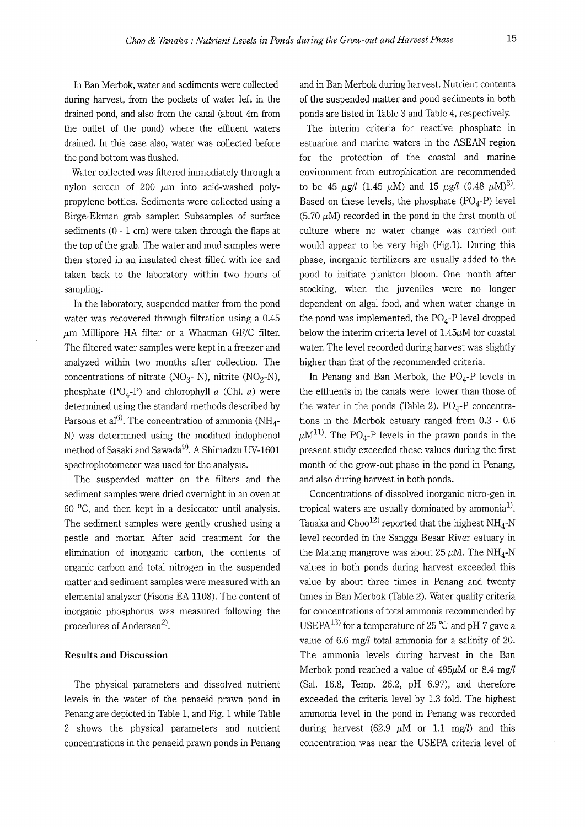In Ban Merbok, water and sediments were collected during harvest, from the pockets of water left in the drained pond, and also from the canal (about 4m from the outlet of the pond) where the effluent waters drained. In this case also, water was collected before the pond bottom was flushed.

Water collected was filtered immediately through a nylon screen of 200  $\mu$ m into acid-washed polypropylene bottles. Sediments were collected using a Birge-Ekman grab sampler. Subsamples of surface sediments  $(0 - 1)$  cm) were taken through the flaps at the top of the grab. The water and mud samples were then stored in an insulated chest filled with ice and taken back to the laboratory within two hours of sampling.

In the laboratory, suspended matter from the pond water was recovered through filtration using a 0.45  $\mu$ m Millipore HA filter or a Whatman GF/C filter. The filtered water samples were kept in a freezer and analyzed within two months after collection. The concentrations of nitrate (NO<sub>3</sub>- N), nitrite (NO<sub>2</sub>-N), phosphate ( $PO<sub>4</sub>-P$ ) and chlorophyll a (Chl. a) were determined using the standard methods described by Parsons et al<sup>6)</sup>. The concentration of ammonia (NH<sub>4</sub>-N) was determined using the modified indophenol method of Sasaki and Sawada<sup>9</sup>. A Shimadzu UV-1601 spectrophotometer was used for the analysis.

The suspended matter on the filters and the sediment samples were dried overnight in an oven at 60 °C, and then kept in a desiccator until analysis. The sediment samples were gently crushed using a pestle and mortar. After acid treatment for the elimination of inorganic carbon, the contents of organic carbon and total nitrogen in the suspended matter and sediment samples were measured with an elemental analyzer (Fisons EA 1108). The content of inorganic phosphorus was measured following the procedures of Andersen $^{2)}$ .

#### **Results and Discussion**

The physical parameters and dissolved nutrient levels in the water of the penaeid prawn pond in Penang are depicted in Table 1, and Fig. 1 while Table 2 shows the physical parameters and nutrient concentrations in the penaeid prawn ponds in Penang and in Ban Merbok during harvest. Nutrient contents of the suspended matter and pond sediments in both ponds are listed in Table 3 and Table 4, respectively.

The interim criteria for reactive phosphate in estuarine and marine waters in the ASEAN region for the protection of the coastal and marine environment from eutrophication are recommended to be 45  $\mu$ g/l (1.45  $\mu$ M) and 15  $\mu$ g/l (0.48  $\mu$ M)<sup>3)</sup>. Based on these levels, the phosphate  $(PO<sub>4</sub>-P)$  level  $(5.70 \mu M)$  recorded in the pond in the first month of culture where no water change was carried out would appear to be very high (Fig.1). During this phase, inorganic fertilizers are usually added to the pond to initiate plankton bloom. One month after stocking, when the juveniles were no longer dependent on algal food, and when water change in the pond was implemented, the  $PO<sub>4</sub>$ -P level dropped below the interim criteria level of  $1.45\mu$ M for coastal water. The level recorded during harvest was slightly higher than that of the recommended criteria.

In Penang and Ban Merbok, the  $PO<sub>A</sub>-P$  levels in the effluents in the canals were lower than those of the water in the ponds (Table 2).  $PO<sub>4</sub>-P$  concentrations in the Merbok estuary ranged from 0.3 - 0.6  $\mu$ M<sup>11)</sup>. The PO<sub>4</sub>-P levels in the prawn ponds in the present study exceeded these values during the first month of the grow-out phase in the pond in Penang, and also during harvest in both ponds.

Concentrations of dissolved inorganic nitro-gen in tropical waters are usually dominated by ammonia<sup>1)</sup>. Tanaka and Choo<sup>12)</sup> reported that the highest  $NH_{4}$ -N level recorded in the Sangga Besar River estuary in the Matang mangrove was about 25  $\mu$ M. The NH<sub>4</sub>-N values in both ponds during harvest exceeded this value by about three times in Penang and twenty times in Ban Merbok (Table 2). Water quality criteria for concentrations of total ammonia recommended by USEPA<sup>13)</sup> for a temperature of 25 °C and pH 7 gave a value of 6.6 mg/l total ammonia for a salinity of 20. The ammonia levels during harvest in the Ban Merbok pond reached a value of  $495\mu$ M or 8.4 mg/l (Sal. 16.8, Temp. 26.2, pH 6.97), and therefore exceeded the criteria level by 1.3 fold. The highest ammonia level in the pond in Penang was recorded during harvest (62.9  $\mu$ M or 1.1 mg/l) and this concentration was near the USEPA criteria level of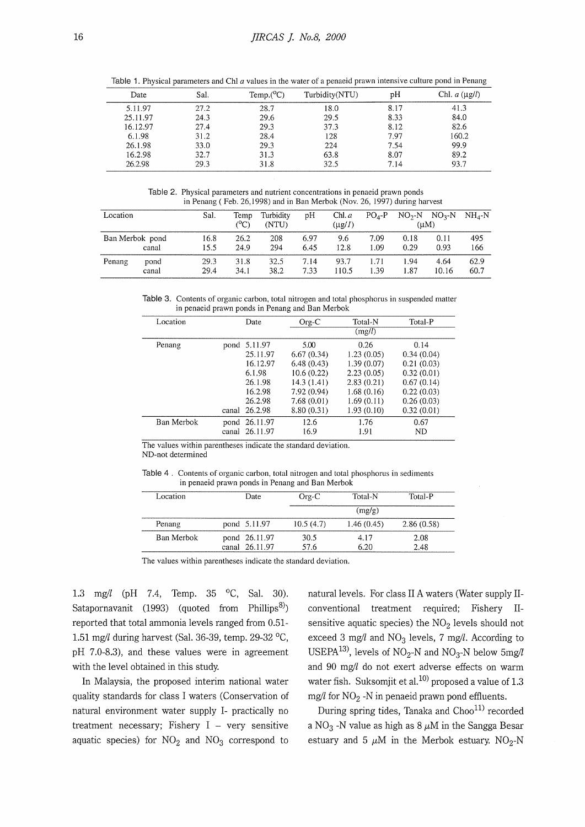| Date     | Sal. | Temp. $(^{o}C)$ | Turbidity(NTU) | pH   | Chl. $a (\mu g/l)$ |
|----------|------|-----------------|----------------|------|--------------------|
| 5.11.97  | 27.2 | 28.7            | 18.0           | 8.17 | 41.3               |
| 25.11.97 | 24.3 | 29.6            | 29.5           | 8.33 | 84.0               |
| 16.12.97 | 27.4 | 29.3            | 37.3           | 8.12 | 82.6               |
| 6.1.98   | 31.2 | 28.4            | 128            | 7.97 | 160.2              |
| 26.1.98  | 33.0 | 29.3            | 224            | 7.54 | 99.9               |
| 16.2.98  | 32.7 | 31.3            | 63.8           | 8.07 | 89.2               |
| 26.2.98  | 29.3 | 31.8            | 32.5           | 7.14 | 93.7               |
|          |      |                 |                |      |                    |

Table 1. Physical parameters and Chl *a* values in the water of a penaeid prawn intensive culture pond in Penang

Table 2. Physical parameters and nutrient concentrations in penaeid prawn ponds in Penang ( Feb. 26, 1998) and in Ban Merbok (Nov. 26, 1997) during harvest

| Location        |               | Sal.         | Temp<br>(°C) | Turbidity<br>(NTU) | pH           | Chl. a<br>$(\mu g/I)$ | $PO4-P$      | (uM)         | $NO2-N$ $NO3-N$ | $NH_A-N$     |
|-----------------|---------------|--------------|--------------|--------------------|--------------|-----------------------|--------------|--------------|-----------------|--------------|
| Ban Merbok pond | canal         | 16.8<br>15.5 | 26.2<br>24.9 | 208<br>294         | 6.97<br>6.45 | 9.6<br>12.8           | 7.09<br>1.09 | 0.18<br>0.29 | 0.11<br>0.93    | 495<br>166   |
| Penang          | pond<br>canal | 29.3<br>29.4 | 31.8<br>34.1 | 32.5<br>38.2       | 7.14<br>7.33 | 93.7<br>110.5         | 1.71<br>1.39 | 1.94<br>1.87 | 4.64<br>10.16   | 62.9<br>60.7 |

Table 3. Contents of organic carbon, total nitrogen and total phosphorus in suspended matter in penaeid prawn ponds in Penang and Ban Merbok

| Location   |      | Date           | $Org-C$     | Total-N    | Total-P    |
|------------|------|----------------|-------------|------------|------------|
|            |      |                |             | (mg/l)     |            |
| Penang     |      | pond 5.11.97   | 5.00        | 0.26       | 0.14       |
|            |      | 25.11.97       | 6.67(0.34)  | 1.23(0.05) | 0.34(0.04) |
|            |      | 16.12.97       | 6.48(0.43)  | 1.39(0.07) | 0.21(0.03) |
|            |      | 6.1.98         | 10.6(0.22)  | 2.23(0.05) | 0.32(0.01) |
|            |      | 26.1.98        | 14.3 (1.41) | 2.83(0.21) | 0.67(0.14) |
|            |      | 16.2.98        | 7.92 (0.94) | 1.68(0.16) | 0.22(0.03) |
|            |      | 26.2.98        | 7.68(0.01)  | 1.69(0.11) | 0.26(0.03) |
|            |      | canal 26.2.98  | 8.80(0.31)  | 1.93(0.10) | 0.32(0.01) |
| Ban Merbok | pond | 26.11.97       | 12.6        | 1.76       | 0.67       |
|            |      | canal 26.11.97 | 16.9        | 1.91       | <b>ND</b>  |

The values within parentheses indicate the standard deviation. ND-not determined

| Table 4. Contents of organic carbon, total nitrogen and total phosphorus in sediments |
|---------------------------------------------------------------------------------------|
| in penaeid prawn ponds in Penang and Ban Merbok                                       |

| Location   | Date                            | $Org-C$      | Total-N      | Total-P      |
|------------|---------------------------------|--------------|--------------|--------------|
|            |                                 |              | (mg/g)       |              |
| Penang     | pond 5.11.97                    | 10.5(4.7)    | 1.46(0.45)   | 2.86(0.58)   |
| Ban Merbok | pond 26.11.97<br>canal 26.11.97 | 30.5<br>57.6 | 4.17<br>6 20 | 2.08<br>2.48 |

The values within parentheses indicate the standard deviation.

1.3 mg/! (pH 7.4, Temp. 35 °C, Sal. 30). Satapornavanit (1993) (quoted from Phillips<sup>8)</sup>) reported that total ammonia levels ranged from 0.51- 1.51 mg/! during harvest (Sal. 36-39, temp. 29-32 °C, pH 7.0-8.3), and these values were in agreement with the level obtained in this study.

In Malaysia, the proposed interim national water quality standards for class I waters (Conservation of natural environment water supply I- practically no treatment necessary; Fishery  $I - \text{very sensitive}$ aquatic species) for  $NO<sub>2</sub>$  and  $NO<sub>3</sub>$  correspond to

natural levels. For class II A waters (Water supply IIconventional treatment required; Fishery IIsensitive aquatic species) the  $NO<sub>2</sub>$  levels should not exceed 3 mg/l and  $NO<sub>3</sub>$  levels, 7 mg/l. According to USEPA<sup>13</sup>), levels of NO<sub>2</sub>-N and NO<sub>3</sub>-N below 5mg/l and 90 mg// do not exert adverse effects on warm water fish. Suksomjit et al.<sup>10)</sup> proposed a value of 1.3 mg/l for  $NO<sub>2</sub>$  -N in penaeid prawn pond effluents.

During spring tides, Tanaka and Choo<sup>11)</sup> recorded a NO<sub>3</sub> -N value as high as  $8 \mu$ M in the Sangga Besar estuary and 5  $\mu$ M in the Merbok estuary. NO<sub>2</sub>-N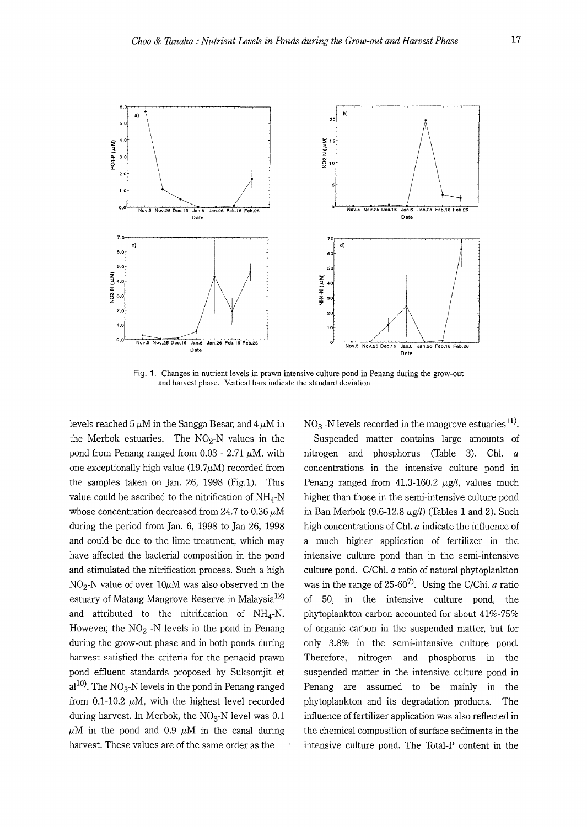

Fig. 1. Changes in nutrient levels in prawn intensive culture pond in Penang during the grow-out and harvest phase. Vertical bars indicate the standard deviation.

levels reached 5  $\mu$ M in the Sangga Besar, and 4  $\mu$ M in the Merbok estuaries. The  $NO<sub>2</sub>-N$  values in the pond from Penang ranged from  $0.03 - 2.71 \mu M$ , with one exceptionally high value  $(19.7\mu\text{M})$  recorded from the samples taken on Jan. 26, 1998 (Fig.l). This value could be ascribed to the nitrification of  $NH_4-N$ whose concentration decreased from 24.7 to  $0.36 \mu M$ during the period from Jan. 6, 1998 to Jan 26, 1998 and could be due to the lime treatment, which may have affected the bacterial composition in the pond and stimulated the nitrification process. Such a high  $NO<sub>2</sub>-N$  value of over  $10\mu$ M was also observed in the estuary of Matang Mangrove Reserve in Malaysia<sup>12)</sup> and attributed to the nitrification of  $NH_4-N$ . However, the  $NO<sub>2</sub>$  -N levels in the pond in Penang during the grow-out phase and in both ponds during harvest satisfied the criteria for the penaeid prawn pond effluent standards proposed by Suksomjit et  $al^{10}$ . The NO<sub>3</sub>-N levels in the pond in Penang ranged from 0.1-10.2  $\mu$ M, with the highest level recorded during harvest. In Merbok, the  $NO<sub>3</sub>$ -N level was 0.1  $\mu$ M in the pond and 0.9  $\mu$ M in the canal during harvest. These values are of the same order as the

 $NO<sub>3</sub>$  -N levels recorded in the mangrove estuaries<sup>11)</sup>.

Suspended matter contains large amounts of nitrogen and phosphorus (Table 3). Ch!. *a*  concentrations in the intensive culture pond m Penang ranged from  $41.3\n-160.2 \mu g/l$ , values much higher than those in the semi-intensive culture pond in Ban Merbok (9.6-12.8  $\mu$ g/l) (Tables 1 and 2). Such high concentrations of Ch!. *a* indicate the influence of a much higher application of fertilizer in the intensive culture pond than in the semi-intensive culture pond.  $C/Chl. a$  ratio of natural phytoplankton was in the range of 25-607). Using the C/Chi. *a* ratio of 50, in the intensive culture pond, the phytoplankton carbon accounted for about 41%-75% of organic carbon in the suspended matter, but for only 3.8% in the semi-intensive culture pond. Therefore, nitrogen and phosphorus in the suspended matter in the intensive culture pond in Penang are assumed to be mainly in the phytoplankton and its degradation products. The influence of fertilizer application was also reflected in the chemical composition of surface sediments in the intensive culture pond. The Total-P content in the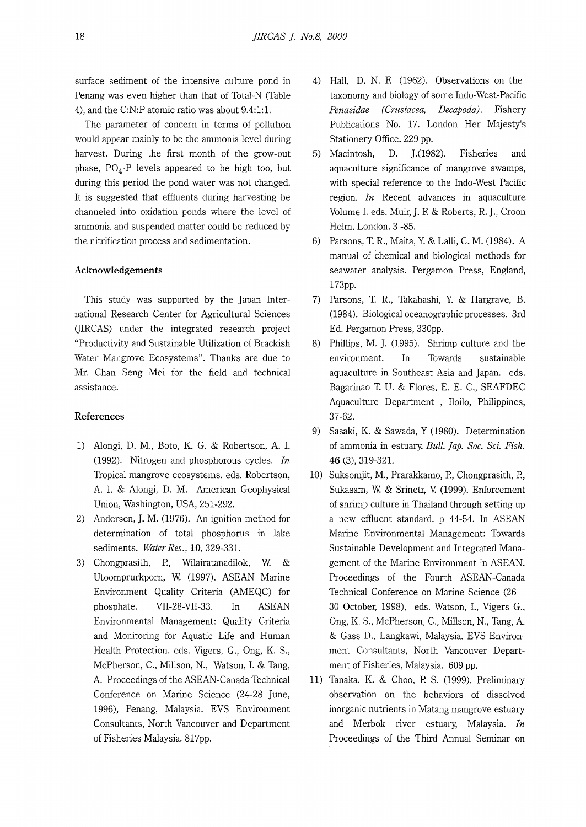surface sediment of the intensive culture pond in Penang was even higher than that of Total-N (Table 4), and the C:N:P atomic ratio was about 9.4:1:1.

The parameter of concern in terms of pollution would appear mainly to be the ammonia level during harvest. During the first month of the grow-out phase,  $PO<sub>4</sub> - P$  levels appeared to be high too, but during this period the pond water was not changed. It is suggested that effluents during harvesting be channeled into oxidation ponds where the level of ammonia and suspended matter could be reduced by the nitrification process and sedimentation.

#### **Acknowledgements**

This study was supported by the Japan International Research Center for Agricultural Sciences (JIRCAS) under the integrated research project "Productivity and Sustainable Utilization of Brackish Water Mangrove Ecosystems". Thanks are due to Mr. Chan Seng Mei for the field and technical assistance.

#### **References**

- 1) Alongi, D. M., Boto, K. G. & Robertson, A. I. (1992). Nitrogen and phosphorous cycles. *In*  Tropical mangrove ecosystems. eds. Robertson, A. I. & Alongi, D. M. American Geophysical Union, Washington, USA, 251-292.
- 2) Andersen, J. M. (1976). An ignition method for determination of total phosphorus in lake sediments. *Water Res.,* **10,** 329-331.
- 3) Chongprasith, P., Wilairatanadilok, W & Utoomprurkporn, W. (1997). ASEAN Marine Environment Quality Criteria (AMEQC) for phosphate. VII-28-VII-33. In ASEAN Environmental Management: Quality Criteria and Monitoring for Aquatic Life and Human Health Protection. eds. Vigers, G., Ong, K. S., McPherson, C., Millson, N., Watson, I. & Tang, A. Proceedings of the ASEAN-Canada Technical Conference on Marine Science (24-28 June, 1996), Penang, Malaysia. EVS Environment Consultants, North Vancouver and Department of Fisheries Malaysia. 817pp.
- 4) Hall, D. N. E (1962). Observations on the taxonomy and biology of some Indo-West-Pacific *Penaeidae (Crustacea, Decapoda).* Fishery Publications No. 17. London Her Majesty's Stationery Office. 229 pp.
- 5) Macintosh, D. J.(1982). Fisheries and aquaculture significance of mangrove swamps, with special reference to the Indo-West Pacific region. *In* Recent advances in aquaculture Volume I. eds. Muir, J. E & Roberts, R. J., Croon Helm, London. 3 -85.
- 6) Parsons, T. R., Maita, Y. & Lalli, C. M. (1984). A manual of chemical and biological methods for seawater analysis. Pergamon Press, England, 173pp.
- 7) Parsons, T. R., Takahashi, Y. & Hargrave, B. (1984). Biological oceanographic processes. 3rd Ed. Pergamon Press, 330pp.
- 8) Phillips, M. **J.** (1995). Shrimp culture and the environment. In Towards sustainable aquaculture in Southeast Asia and Japan. eds. Bagarinao T. U. & Flores, E. E. C., SEAFDEC Aquaculture Department , Iloilo, Philippines, 37-62.
- 9) Sasaki, K. & Sawada, Y (1980). Determination of ammonia in estuary. *Bull. ]ap. Soc. Sci. Fish.*  **46** (3), 319-321.
- 10) Suksomjit, M., Prarakkamo, P., Chongprasith, P., Sukasam, W & Srinetr, V. (1999). Enforcement of shrimp culture in Thailand through setting up a new effluent standard. p 44-54. In ASEAN Marine Environmental Management: Towards Sustainable Development and Integrated Management of the Marine Environment in ASEAN. Proceedings of the Fourth ASEAN-Canada Technical Conference on Marine Science (26 - 30 October, 1998), eds. Watson, I., Vigers G., Ong, K. S., McPherson, C., Millson, N., Tang, A. & Gass D., Langkawi, Malaysia. EVS Environment Consultants, North Vancouver Department of Fisheries, Malaysia. 609 pp.
- 11) Tanaka, K. & Choo, P. S. (1999). Preliminary observation on the behaviors of dissolved inorganic nutrients in Matang mangrove estuary and Merbok river estuary, Malaysia. *In*  Proceedings of the Third Annual Seminar on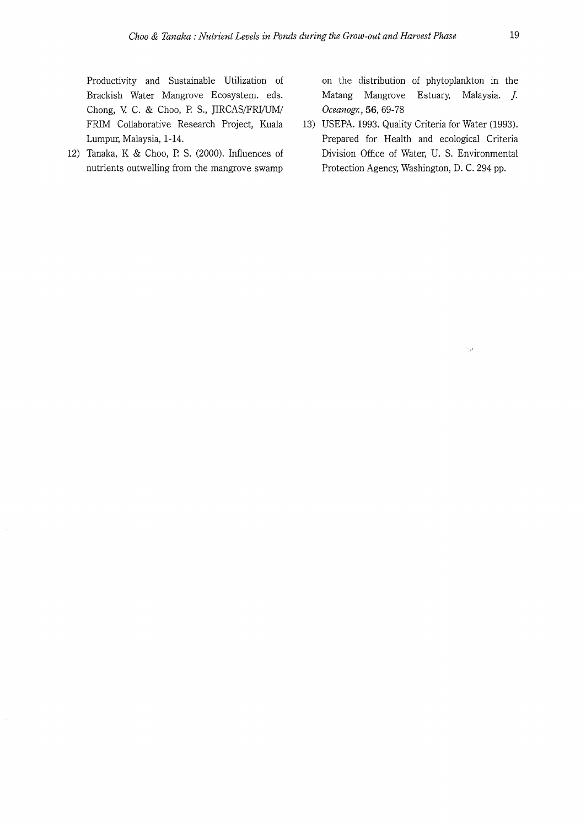Productivity and Sustainable Utilization of Brackish Water Mangrove Ecosystem. eds. Chong, V. C. & Choo, P. S., JIRCAS/FRI/UM/ FRIM Collaborative Research Project, Kuala Lumpur, Malaysia, 1-14.

12) Tanaka, K & Choo, P. S. (2000). Influences of nutrients outwelling from the mangrove swamp

on the distribution of phytoplankton in the Matang Mangrove Estuary, Malaysia. *]. Oceanogr.,* **56,** 69-78

13) USEPA. 1993. Quality Criteria for Water (1993). Prepared for Health and ecological Criteria Division Office of Water, U. S. Environmental Protection Agency, Washington, D. C. 294 pp.

J.